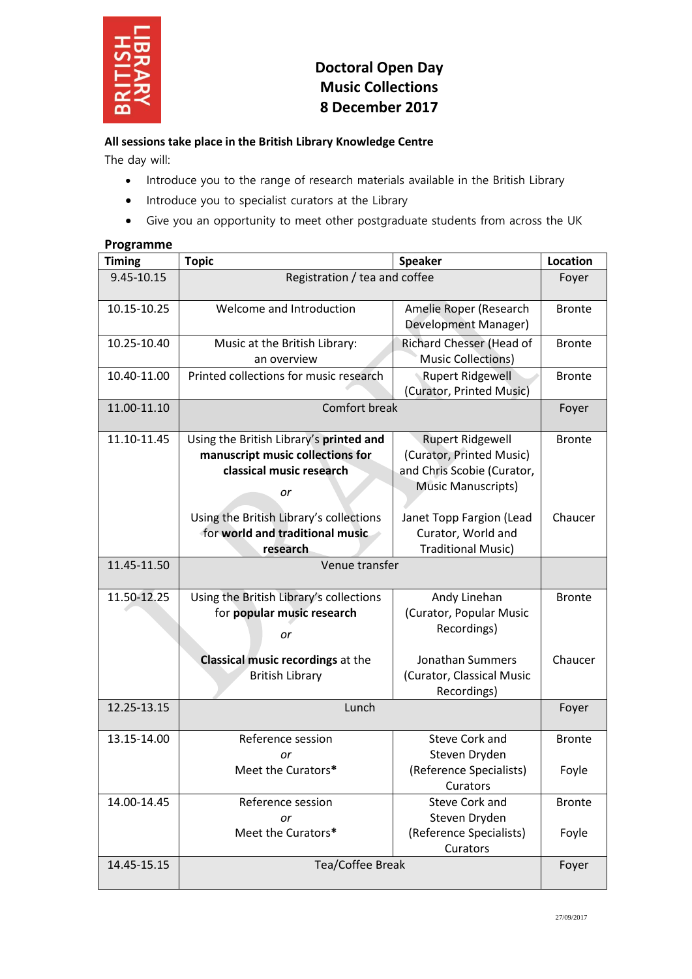

# **Doctoral Open Day Music Collections 8 December 2017**

## **All sessions take place in the British Library Knowledge Centre**

The day will:

- Introduce you to the range of research materials available in the British Library
- Introduce you to specialist curators at the Library
- Give you an opportunity to meet other postgraduate students from across the UK

## **Programme**

| <b>Timing</b> | <b>Topic</b>                                                                                                  | <b>Speaker</b>                                                                                                 | Location      |
|---------------|---------------------------------------------------------------------------------------------------------------|----------------------------------------------------------------------------------------------------------------|---------------|
| 9.45-10.15    | Registration / tea and coffee                                                                                 |                                                                                                                | Foyer         |
| 10.15-10.25   | Welcome and Introduction                                                                                      | Amelie Roper (Research<br><b>Development Manager)</b>                                                          | <b>Bronte</b> |
| 10.25-10.40   | Music at the British Library:<br>an overview                                                                  | Richard Chesser (Head of<br><b>Music Collections)</b>                                                          | <b>Bronte</b> |
| 10.40-11.00   | Printed collections for music research                                                                        | <b>Rupert Ridgewell</b><br>(Curator, Printed Music)                                                            | <b>Bronte</b> |
| 11.00-11.10   | Comfort break                                                                                                 |                                                                                                                | Foyer         |
| 11.10-11.45   | Using the British Library's printed and<br>manuscript music collections for<br>classical music research<br>or | <b>Rupert Ridgewell</b><br>(Curator, Printed Music)<br>and Chris Scobie (Curator,<br><b>Music Manuscripts)</b> | <b>Bronte</b> |
|               | Using the British Library's collections<br>for world and traditional music<br>research                        | Janet Topp Fargion (Lead<br>Curator, World and<br><b>Traditional Music)</b>                                    | Chaucer       |
| 11.45-11.50   | Venue transfer                                                                                                |                                                                                                                |               |
| 11.50-12.25   | Using the British Library's collections<br>for popular music research<br>or                                   | Andy Linehan<br>(Curator, Popular Music<br>Recordings)                                                         | <b>Bronte</b> |
|               | <b>Classical music recordings at the</b><br><b>British Library</b>                                            | Jonathan Summers<br>(Curator, Classical Music<br>Recordings)                                                   | Chaucer       |
| 12.25-13.15   | Lunch                                                                                                         |                                                                                                                | Foyer         |
| 13.15-14.00   | Reference session<br>or                                                                                       | <b>Steve Cork and</b><br>Steven Dryden                                                                         | <b>Bronte</b> |
|               | Meet the Curators*                                                                                            | (Reference Specialists)<br>Curators                                                                            | Foyle         |
| 14.00-14.45   | Reference session<br>or                                                                                       | <b>Steve Cork and</b><br>Steven Dryden                                                                         | <b>Bronte</b> |
|               | Meet the Curators*                                                                                            | (Reference Specialists)<br>Curators                                                                            | Foyle         |
| 14.45-15.15   | Tea/Coffee Break                                                                                              |                                                                                                                | Foyer         |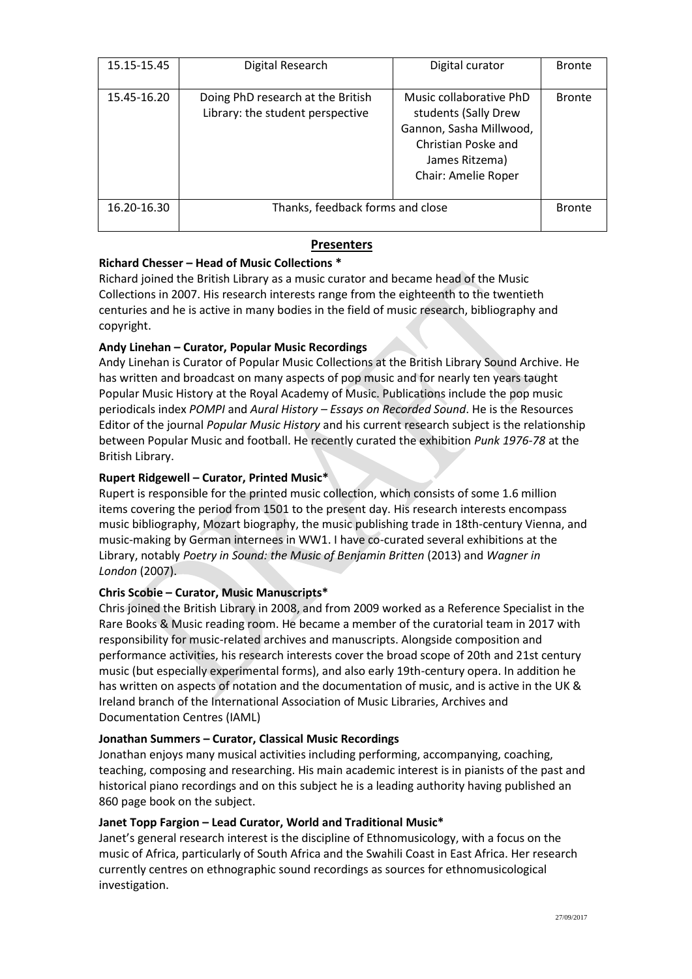| 15.15-15.45 | Digital Research                                                      | Digital curator                                                                                                                            | <b>Bronte</b> |
|-------------|-----------------------------------------------------------------------|--------------------------------------------------------------------------------------------------------------------------------------------|---------------|
| 15.45-16.20 | Doing PhD research at the British<br>Library: the student perspective | Music collaborative PhD<br>students (Sally Drew<br>Gannon, Sasha Millwood,<br>Christian Poske and<br>James Ritzema)<br>Chair: Amelie Roper | <b>Bronte</b> |
| 16.20-16.30 | Thanks, feedback forms and close                                      |                                                                                                                                            | <b>Bronte</b> |

# **Presenters**

## **Richard Chesser – Head of Music Collections \***

Richard joined the British Library as a music curator and became head of the Music Collections in 2007. His research interests range from the eighteenth to the twentieth centuries and he is active in many bodies in the field of music research, bibliography and copyright.

# **Andy Linehan – Curator, Popular Music Recordings**

Andy Linehan is Curator of Popular Music Collections at the British Library Sound Archive. He has written and broadcast on many aspects of pop music and for nearly ten years taught Popular Music History at the Royal Academy of Music. Publications include the pop music periodicals index *POMPI* and *Aural History – Essays on Recorded Sound*. He is the Resources Editor of the journal *Popular Music History* and his current research subject is the relationship between Popular Music and football. He recently curated the exhibition *Punk 1976-78* at the British Library.

## **Rupert Ridgewell – Curator, Printed Music\***

Rupert is responsible for the printed music collection, which consists of some 1.6 million items covering the period from 1501 to the present day. His research interests encompass music bibliography, Mozart biography, the music publishing trade in 18th-century Vienna, and music-making by German internees in WW1. I have co-curated several exhibitions at the Library, notably *Poetry in Sound: the Music of Benjamin Britten* (2013) and *Wagner in London* (2007).

## **Chris Scobie – Curator, Music Manuscripts\***

Chris joined the British Library in 2008, and from 2009 worked as a Reference Specialist in the Rare Books & Music reading room. He became a member of the curatorial team in 2017 with responsibility for music-related archives and manuscripts. Alongside composition and performance activities, his research interests cover the broad scope of 20th and 21st century music (but especially experimental forms), and also early 19th-century opera. In addition he has written on aspects of notation and the documentation of music, and is active in the UK & Ireland branch of the International Association of Music Libraries, Archives and Documentation Centres (IAML)

## **Jonathan Summers – Curator, Classical Music Recordings**

Jonathan enjoys many musical activities including performing, accompanying, coaching, teaching, composing and researching. His main academic interest is in pianists of the past and historical piano recordings and on this subject he is a leading authority having published an 860 page book on the subject.

## **Janet Topp Fargion – Lead Curator, World and Traditional Music\***

Janet's general research interest is the discipline of Ethnomusicology, with a focus on the music of Africa, particularly of South Africa and the Swahili Coast in East Africa. Her research currently centres on ethnographic sound recordings as sources for ethnomusicological investigation.